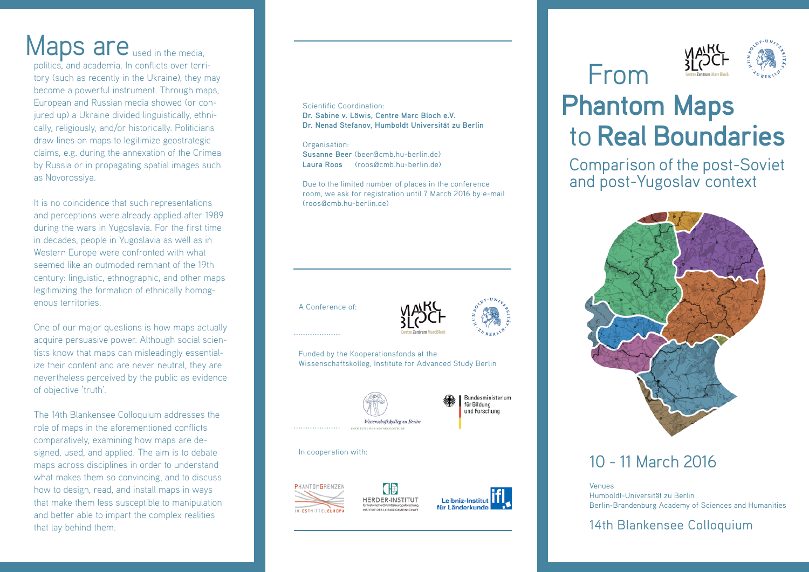# Maps are used in the media,

politics, and academia. In conflicts over territory (such as recently in the Ukraine), they may become a powerful instrument. Through maps, European and Russian media showed (or conjured up) a Ukraine divided linguistically, ethnically, religiously, and/or historically. Politicians draw lines on maps to legitimize geostrategic claims, e.g. during the annexation of the Crimea by Russia or in propagating spatial images such as Novorossiya.

It is no coincidence that such representations and perceptions were already applied after 1989 during the wars in Yugoslavia. For the first time in decades, people in Yugoslavia as well as in Western Europe were confronted with what seemed like an outmoded remnant of the 19th century: linguistic, ethnographic, and other maps legitimizing the formation of ethnically homogenous territories.

One of our major questions is how maps actually acquire persuasive power. Although social scientists know that maps can misleadingly essentialize their content and are never neutral, they are nevertheless perceived by the public as evidence of objective 'truth'.

The 14th Blankensee Colloquium addresses the role of maps in the aforementioned conflicts comparatively, examining how maps are designed, used, and applied. The aim is to debate maps across disciplines in order to understand what makes them so convincing, and to discuss how to design, read, and install maps in ways that make them less susceptible to manipulation and better able to impart the complex realities that lay behind them.

### Scientific Coordination:

**Dr. Sabine v. Löwis, Centre Marc Bloch e.V. Dr. Nenad Stefanov, Humboldt Universität zu Berlin**

Organisation: **Susanne Beer** (beer@cmb.hu-berlin.de) Laura Roos (roos@cmb.hu-berlin.de)

Due to the limited number of places in the conference room, we ask for registration until 7 March 2016 by e-mail (roos@cmb.hu-berlin.de)

A Conference of:



Funded by the Kooperationsfonds at the Wissenschaftskolleg, Institute for Advanced Study Berlin

HERDER-INSTITUT



Bundesministerium für Bildung und Forschung

#### In cooperation with:









# **Phantom Maps Phantom Maps**to **Real Boundaries**

Comparison of the post-Soviet and post-Yugoslav context



# 10 - 11 March 2016

Venues Humboldt-Universität zu Berlin Berlin-Brandenburg Academy of Sciences and Humanities

14th Blankensee Colloquium